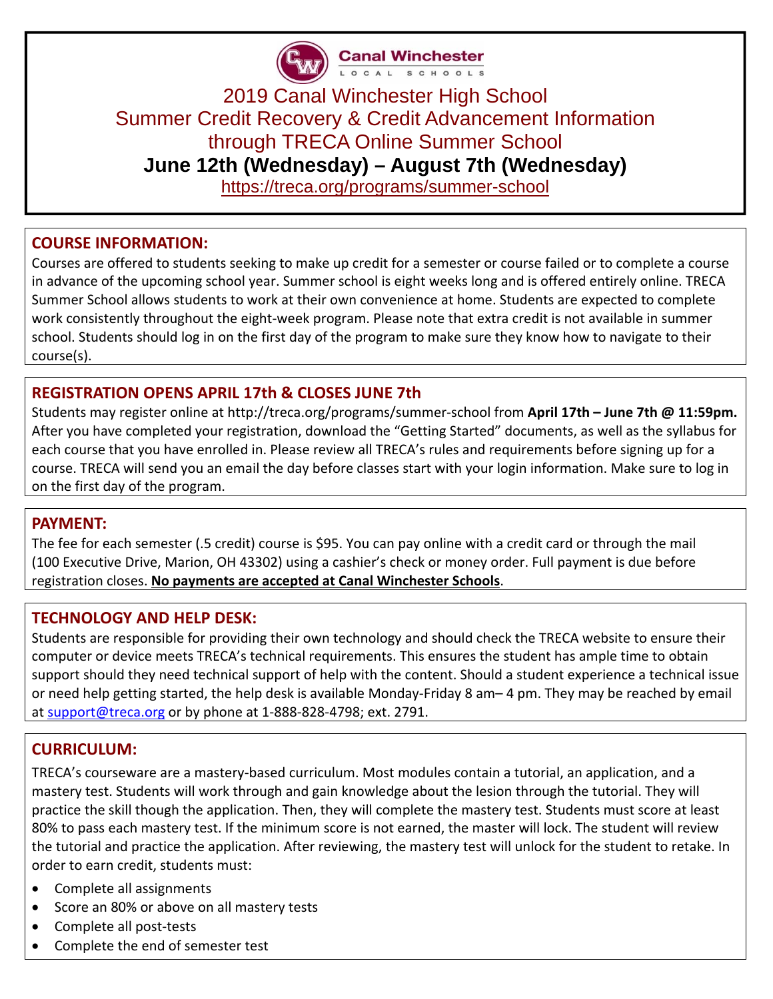

Canal Winchester

# 2019 Canal Winchester High School Summer Credit Recovery & Credit Advancement Information through TRECA Online Summer School **June 12th (Wednesday) – August 7th (Wednesday)**

https://treca.org/programs/summer-school

# **COURSE INFORMATION:**

Courses are offered to students seeking to make up credit for a semester or course failed or to complete a course in advance of the upcoming school year. Summer school is eight weeks long and is offered entirely online. TRECA Summer School allows students to work at their own convenience at home. Students are expected to complete work consistently throughout the eight-week program. Please note that extra credit is not available in summer school. Students should log in on the first day of the program to make sure they know how to navigate to their course(s).

# **REGISTRATION OPENS APRIL 17th & CLOSES JUNE 7th**

Students may register online at http://treca.org/programs/summer‐school from **April 17th – June 7th @ 11:59pm.** After you have completed your registration, download the "Getting Started" documents, as well as the syllabus for each course that you have enrolled in. Please review all TRECA's rules and requirements before signing up for a course. TRECA will send you an email the day before classes start with your login information. Make sure to log in on the first day of the program.

## **PAYMENT:**

The fee for each semester (.5 credit) course is \$95. You can pay online with a credit card or through the mail (100 Executive Drive, Marion, OH 43302) using a cashier's check or money order. Full payment is due before registration closes. **No payments are accepted at Canal Winchester Schools**.

## **TECHNOLOGY AND HELP DESK:**

Students are responsible for providing their own technology and should check the TRECA website to ensure their computer or device meets TRECA's technical requirements. This ensures the student has ample time to obtain support should they need technical support of help with the content. Should a student experience a technical issue or need help getting started, the help desk is available Monday‐Friday 8 am– 4 pm. They may be reached by email at support@treca.org or by phone at 1‐888‐828‐4798; ext. 2791.

# **CURRICULUM:**

TRECA's courseware are a mastery‐based curriculum. Most modules contain a tutorial, an application, and a mastery test. Students will work through and gain knowledge about the lesion through the tutorial. They will practice the skill though the application. Then, they will complete the mastery test. Students must score at least 80% to pass each mastery test. If the minimum score is not earned, the master will lock. The student will review the tutorial and practice the application. After reviewing, the mastery test will unlock for the student to retake. In order to earn credit, students must:

- Complete all assignments
- Score an 80% or above on all mastery tests
- Complete all post-tests
- Complete the end of semester test